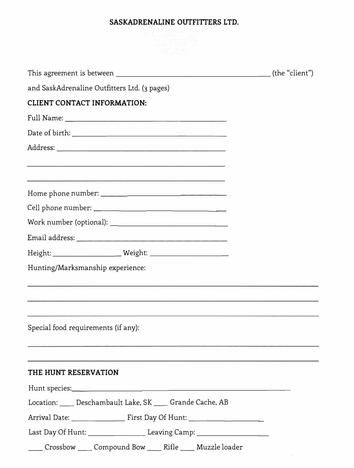# **SASKADRENALINE OUTFITTERS LTD.**

| and SaskAdrenaline Outfitters Ltd. (3 pages)                                                                    |  |
|-----------------------------------------------------------------------------------------------------------------|--|
| <b>CLIENT CONTACT INFORMATION:</b>                                                                              |  |
|                                                                                                                 |  |
|                                                                                                                 |  |
|                                                                                                                 |  |
| <u> 1989 - Andrea American Artista e a construíro de Artista e a construíro de Artista e a construíro de Ar</u> |  |
| <u> 1989 - Johann Johann Stoff, deutscher Stoff († 1952)</u>                                                    |  |
|                                                                                                                 |  |
|                                                                                                                 |  |
|                                                                                                                 |  |
|                                                                                                                 |  |
|                                                                                                                 |  |
| Hunting/Marksmanship experience:                                                                                |  |
|                                                                                                                 |  |
|                                                                                                                 |  |
|                                                                                                                 |  |
| Special food requirements (if any):                                                                             |  |
|                                                                                                                 |  |
|                                                                                                                 |  |
| THE HUNT RESERVATION                                                                                            |  |
|                                                                                                                 |  |
| Location: ____ Deschambault Lake, SK ____ Grande Cache, AB                                                      |  |
|                                                                                                                 |  |
| Last Day Of Hunt: __________________________Leaving Camp: ______________________                                |  |
| Crossbow Compound Bow Rifle Muzzle loader                                                                       |  |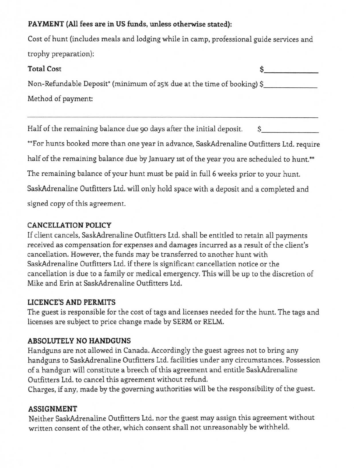#### **PAYMENT (All fees are in US funds, unless otherwise stated):**

Cost of hunt (includes meals and lodging while in camp, professional guide services and trophy preparation):

# **Total Cost \$**

Non-Refundable Deposit\* (minimum of 25% due at the time of booking) \$ Method of payment:

Half of the remaining balance due 90 days after the initial deposit. \$

\*\*For hunts booked more than one year in advance, SaskAdrenaline Outfitters Ltd. require half of the remaining balance due by January 1st of the year you are scheduled to hunt.\*\* The remaining balance of your hunt must be paid in full 6 weeks prior to your hunt. SaskAdrenaline Outfitters Ltd. will only hold space with a deposit and a completed and signed copy of this agreement.

# **CANCELLATION POLICY**

If client cancels, SaskAdrenaline Outfitters Ltd. shall be entitled to retain all payments received as compensation for expenses and damages incurred as a result of the client's cancellation. However, the funds may be transferred to another hunt with SaskAdrenaline Outfitters Ltd. if there is significant cancellation notice or the cancellation is due to a family or medical emergency. This will be up to the discretion of Mike and Erin at SaskAdrenaline Outfitters Ltd.

# **LICENCE'S AND PERMITS**

The guest is responsible for the cost of tags and licenses needed for the hunt. The tags and licenses are subject to price change made by SERM or RELM.

# **ABSOLUTELY NO HANDGUNS**

Handguns are not allowed in Canada. Accordingly the guest agrees not to bring any handguns to SaskAdrenaline Outfitters Ltd. facilities under any circumstances. Possession of a handgun will constitute a breech of this agreement and entitle SaskAdrenaline Outfitters Ltd. to cancel this agreement without refund.

Charges, if any, made by the governing authorities will be the responsibility of the guest.

# **ASSIGNMENT**

Neither SaskAdrenaline Outfitters Ltd. nor the guest may assign this agreement without written consent of the other, which consent shall not unreasonably be withheld.